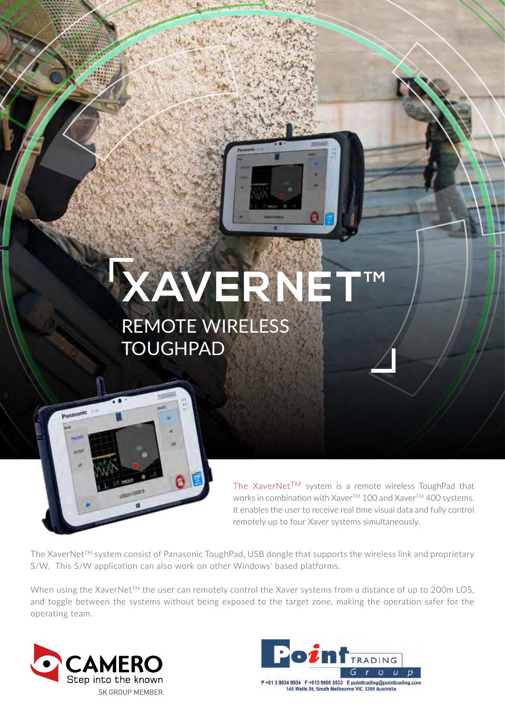## **XAVERNET** REMOTE WIRELESS **TOUGHPAD**



The XaverNet<sup>TM</sup> system is a remote wireless ToughPad that works in combination with Xaver™ 100 and Xaver™ 400 systems. It enables the user to receive real time visual data and fully control remotely up to four Xaver systems simultaneously.

The XaverNet™ system consist of Panasonic ToughPad, USB dongle that supports the wireless link and proprietary S/W. This S/W application can also work on other Windows' based platforms.

When using the XaverNet™ the user can remotely control the Xaver systems from a distance of up to 200m LOS, and toggle between the systems without being exposed to the target zone, making the operation safer for the operating team.